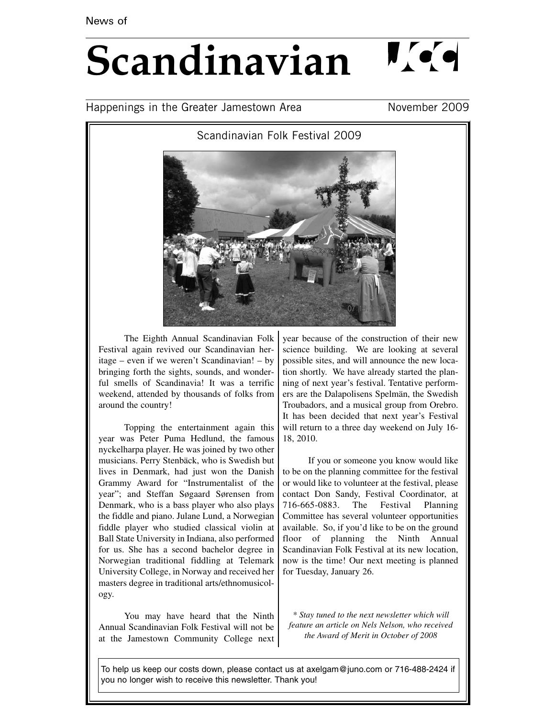# $\mathbf{N}$  (  $\mathbf{q}$ **Scandinavian**

### Happenings in the Greater Jamestown Area November 2009

Scandinavian Folk Festival 2009



The Eighth Annual Scandinavian Folk Festival again revived our Scandinavian heritage – even if we weren't Scandinavian! – by bringing forth the sights, sounds, and wonderful smells of Scandinavia! It was a terrific weekend, attended by thousands of folks from around the country!

Topping the entertainment again this year was Peter Puma Hedlund, the famous nyckelharpa player. He was joined by two other musicians. Perry Stenbäck, who is Swedish but lives in Denmark, had just won the Danish Grammy Award for "Instrumentalist of the year"; and Steffan Søgaard Sørensen from Denmark, who is a bass player who also plays the fiddle and piano. Julane Lund, a Norwegian fiddle player who studied classical violin at Ball State University in Indiana, also performed for us. She has a second bachelor degree in Norwegian traditional fiddling at Telemark University College, in Norway and received her masters degree in traditional arts/ethnomusicology.

You may have heard that the Ninth Annual Scandinavian Folk Festival will not be at the Jamestown Community College next year because of the construction of their new science building. We are looking at several possible sites, and will announce the new location shortly. We have already started the planning of next year's festival. Tentative performers are the Dalapolisens Spelmän, the Swedish Troubadors, and a musical group from Orebro. It has been decided that next year's Festival will return to a three day weekend on July 16- 18, 2010.

If you or someone you know would like to be on the planning committee for the festival or would like to volunteer at the festival, please contact Don Sandy, Festival Coordinator, at 716-665-0883. The Festival Planning Committee has several volunteer opportunities available. So, if you'd like to be on the ground floor of planning the Ninth Annual Scandinavian Folk Festival at its new location, now is the time! Our next meeting is planned for Tuesday, January 26.

*\* Stay tuned to the next newsletter which will feature an article on Nels Nelson, who received the Award of Merit in October of 2008*

To help us keep our costs down, please contact us at axelgam@juno.com or 716-488-2424 if you no longer wish to receive this newsletter. Thank you!